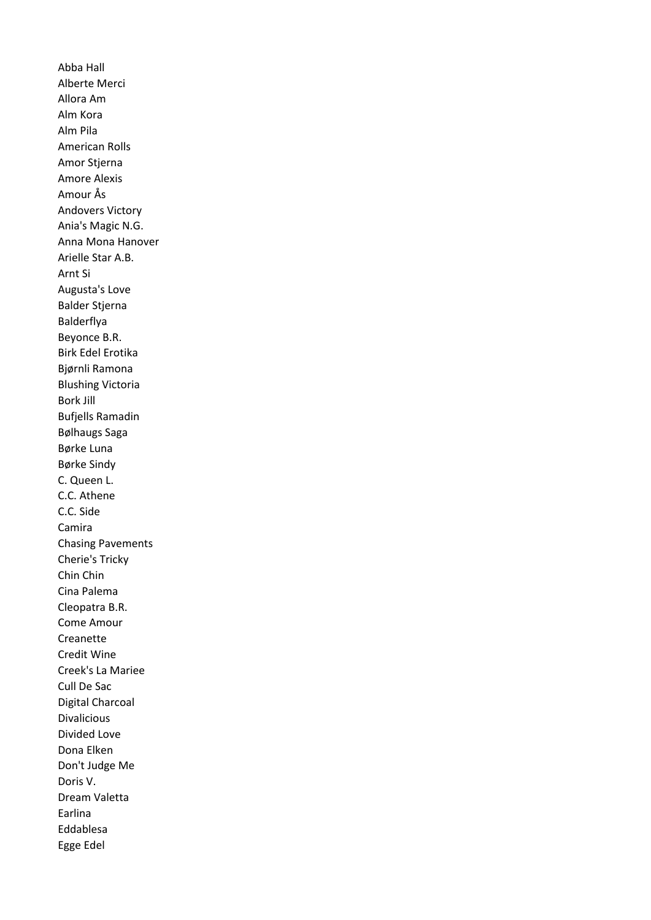Abba Hall Alberte Merci Allora Am Alm Kora Alm Pila American Rolls Amor Stjerna Amore Alexis Amour Ås Andovers Victory Ania's Magic N.G. Anna Mona Hanover Arielle Star A.B. Arnt Si Augusta's Love Balder Stjerna Balderflya Beyonce B.R. Birk Edel Erotika Bjørnli Ramona Blushing Victoria Bork Jill Bufjells Ramadin Bølhaugs Saga Børke Luna Børke Sindy C. Queen L. C.C. Athene C.C. Side Camira Chasing Pavements Cherie's Tricky Chin Chin Cina Palema Cleopatra B.R. Come Amour Creanette Credit Wine Creek's La Mariee Cull De Sac Digital Charcoal Divalicious Divided Love Dona Elken Don't Judge Me Doris V. Dream Valetta Earlina Eddablesa Egge Edel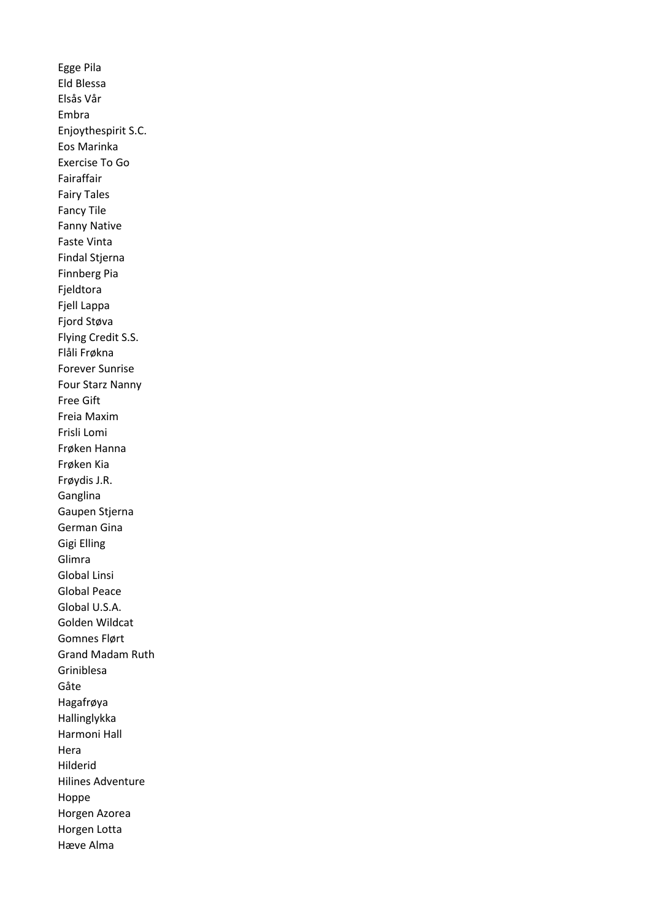Egge Pila Eld Blessa Elsås Vår Embra Enjoythespirit S.C. Eos Marinka Exercise To Go Fairaffair Fairy Tales Fancy Tile Fanny Native Faste Vinta Findal Stjerna Finnberg Pia Fjeldtora Fjell Lappa Fjord Støva Flying Credit S.S. Flåli Frøkna Forever Sunrise Four Starz Nanny Free Gift Freia Maxim Frisli Lomi Frøken Hanna Frøken Kia Frøydis J.R. Ganglina Gaupen Stjerna German Gina Gigi Elling Glimra Global Linsi Global Peace Global U.S.A. Golden Wildcat Gomnes Flørt Grand Madam Ruth Griniblesa Gåte Hagafrøya Hallinglykka Harmoni Hall Hera Hilderid Hilines Adventure Hoppe Horgen Azorea Horgen Lotta Hæve Alma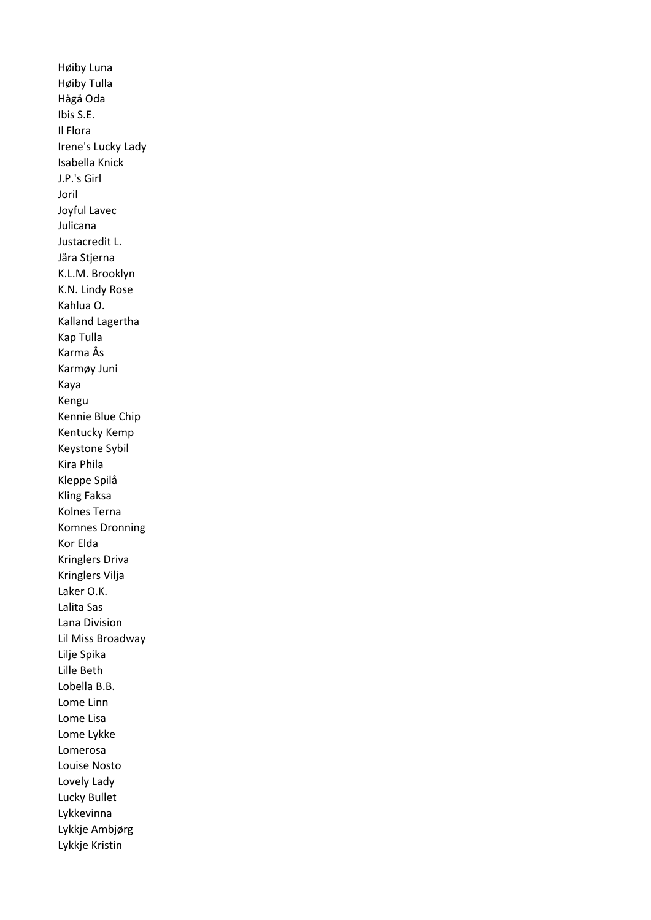Høiby Luna Høiby Tulla Hågå Oda Ibis S.E. Il Flora Irene's Lucky Lady Isabella Knick J.P.'s Girl Joril Joyful Lavec Julicana Justacredit L. Jåra Stjerna K.L.M. Brooklyn K.N. Lindy Rose Kahlua O. Kalland Lagertha Kap Tulla Karma Ås Karmøy Juni Kaya Kengu Kennie Blue Chip Kentucky Kemp Keystone Sybil Kira Phila Kleppe Spilå Kling Faksa Kolnes Terna Komnes Dronning Kor Elda Kringlers Driva Kringlers Vilja Laker O.K. Lalita Sas Lana Division Lil Miss Broadway Lilje Spika Lille Beth Lobella B.B. Lome Linn Lome Lisa Lome Lykke Lomerosa Louise Nosto Lovely Lady Lucky Bullet Lykkevinna Lykkje Ambjørg Lykkje Kristin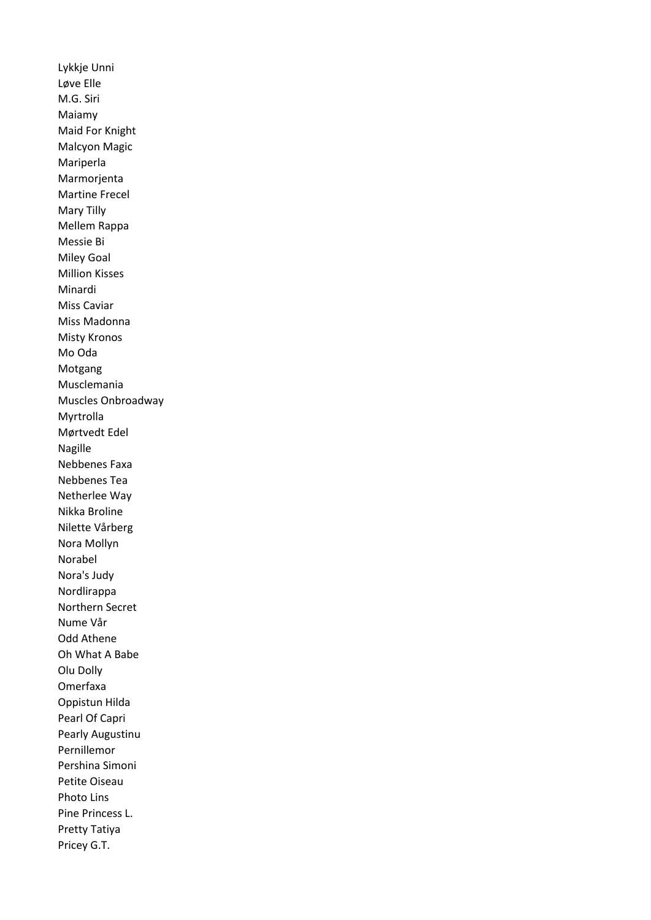Lykkje Unni Løve Elle M.G. Siri Maiamy Maid For Knight Malcyon Magic Mariperla Marmorjenta Martine Frecel Mary Tilly Mellem Rappa Messie Bi Miley Goal Million Kisses Minardi Miss Caviar Miss Madonna Misty Kronos Mo Oda Motgang Musclemania Muscles Onbroadway Myrtrolla Mørtvedt Edel Nagille Nebbenes Faxa Nebbenes Tea Netherlee Way Nikka Broline Nilette Vårberg Nora Mollyn Norabel Nora's Judy Nordlirappa Northern Secret Nume Vår Odd Athene Oh What A Babe Olu Dolly Omerfaxa Oppistun Hilda Pearl Of Capri Pearly Augustinu Pernillemor Pershina Simoni Petite Oiseau Photo Lins Pine Princess L. Pretty Tatiya Pricey G.T.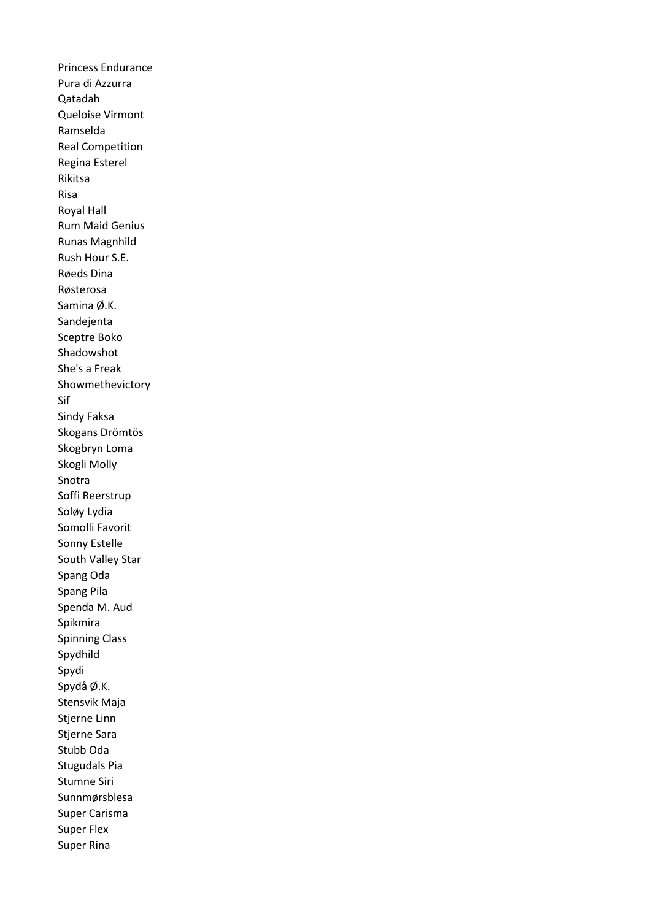Princess Endurance Pura di Azzurra Qatadah Queloise Virmont Ramselda Real Competition Regina Esterel Rikitsa Risa Royal Hall Rum Maid Genius Runas Magnhild Rush Hour S.E. Røeds Dina Røsterosa Samina Ø.K. Sandejenta Sceptre Boko Shadowshot She's a Freak Showmethevictory Sif Sindy Faksa Skogans Drömtös Skogbryn Loma Skogli Molly Snotra Soffi Reerstrup Soløy Lydia Somolli Favorit Sonny Estelle South Valley Star Spang Oda Spang Pila Spenda M. Aud Spikmira Spinning Class Spydhild Spydi Spydå Ø.K. Stensvik Maja Stjerne Linn Stjerne Sara Stubb Oda Stugudals Pia Stumne Siri Sunnmørsblesa Super Carisma Super Flex Super Rina